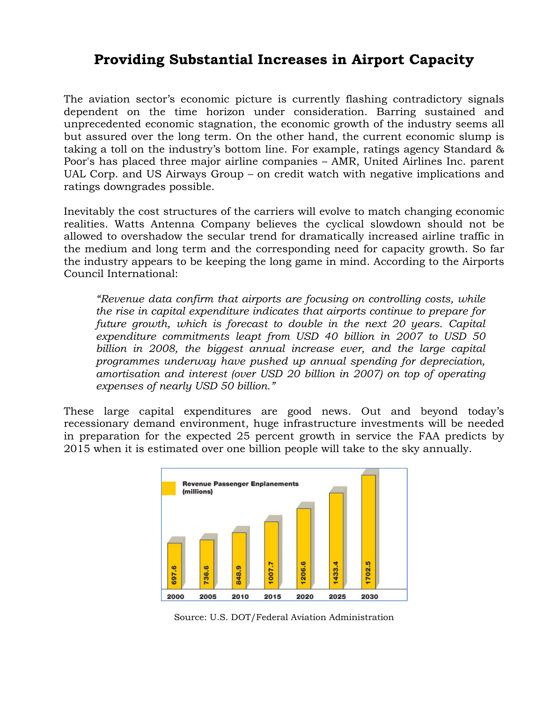## **Providing Substantial Increases in Airport Capacity**

The aviation sector's economic picture is currently flashing contradictory signals dependent on the time horizon under consideration. Barring sustained and unprecedented economic stagnation, the economic growth of the industry seems all but assured over the long term. On the other hand, the current economic slump is taking a toll on the industry's bottom line. For example, ratings agency Standard & Poor's has placed three major airline companies – AMR, United Airlines Inc. parent UAL Corp. and US Airways Group – on credit watch with negative implications and ratings downgrades possible.

Inevitably the cost structures of the carriers will evolve to match changing economic realities. Watts Antenna Company believes the cyclical slowdown should not be allowed to overshadow the secular trend for dramatically increased airline traffic in the medium and long term and the corresponding need for capacity growth. So far the industry appears to be keeping the long game in mind. According to the Airports Council International:

*"Revenue data confirm that airports are focusing on controlling costs, while the rise in capital expenditure indicates that airports continue to prepare for future growth, which is forecast to double in the next 20 years. Capital expenditure commitments leapt from USD 40 billion in 2007 to USD 50 billion in 2008, the biggest annual increase ever, and the large capital programmes underway have pushed up annual spending for depreciation, amortisation and interest (over USD 20 billion in 2007) on top of operating expenses of nearly USD 50 billion."* 

These large capital expenditures are good news. Out and beyond today's recessionary demand environment, huge infrastructure investments will be needed in preparation for the expected 25 percent growth in service the FAA predicts by 2015 when it is estimated over one billion people will take to the sky annually.



Source: U.S. DOT/Federal Aviation Administration